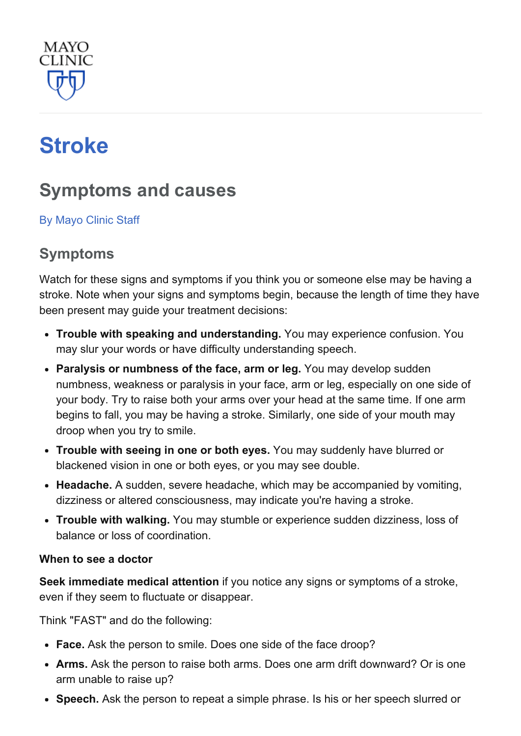

# **[Stroke](http://www.mayoclinic.org/diseases-conditions/stroke/home/ovc-20117264)**

# Symptoms and causes

By [Mayo](http://www.mayoclinic.org/about-this-site/welcome) Clinic Staff

# Symptoms

Watch for these signs and symptoms if you think you or someone else may be having a stroke. Note when your signs and symptoms begin, because the length of time they have been present may guide your treatment decisions:

- Trouble with speaking and understanding. You may experience confusion. You may slur your words or have difficulty understanding speech.
- Paralysis or numbness of the face, arm or leg. You may develop sudden numbness, weakness or paralysis in your face, arm or leg, especially on one side of your body. Try to raise both your arms over your head at the same time. If one arm begins to fall, you may be having a stroke. Similarly, one side of your mouth may droop when you try to smile.
- Trouble with seeing in one or both eyes. You may suddenly have blurred or blackened vision in one or both eyes, or you may see double.
- Headache. A sudden, severe headache, which may be accompanied by vomiting, dizziness or altered consciousness, may indicate you're having a stroke.
- Trouble with walking. You may stumble or experience sudden dizziness, loss of balance or loss of coordination.

#### When to see a doctor

Seek immediate medical attention if you notice any signs or symptoms of a stroke, even if they seem to fluctuate or disappear.

Think "FAST" and do the following:

- Face. Ask the person to smile. Does one side of the face droop?
- Arms. Ask the person to raise both arms. Does one arm drift downward? Or is one arm unable to raise up?
- Speech. Ask the person to repeat a simple phrase. Is his or her speech slurred or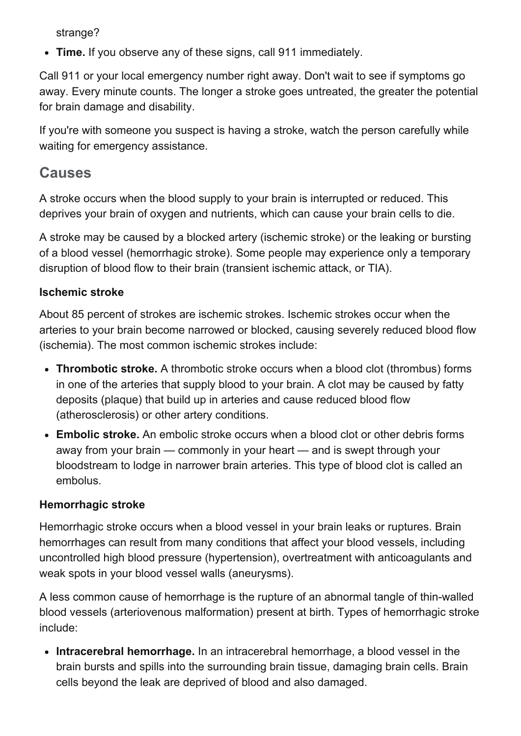strange?

• Time. If you observe any of these signs, call 911 immediately.

Call 911 or your local emergency number right away. Don't wait to see if symptoms go away. Every minute counts. The longer a stroke goes untreated, the greater the potential for brain damage and disability.

If you're with someone you suspect is having a stroke, watch the person carefully while waiting for emergency assistance.

### Causes

A stroke occurs when the blood supply to your brain is interrupted or reduced. This deprives your brain of oxygen and nutrients, which can cause your brain cells to die.

A stroke may be caused by a blocked artery (ischemic stroke) or the leaking or bursting of a blood vessel (hemorrhagic stroke). Some people may experience only a temporary disruption of blood flow to their brain (transient ischemic attack, or TIA).

#### Ischemic stroke

About 85 percent of strokes are ischemic strokes. Ischemic strokes occur when the arteries to your brain become narrowed or blocked, causing severely reduced blood flow (ischemia). The most common ischemic strokes include:

- Thrombotic stroke. A thrombotic stroke occurs when a blood clot (thrombus) forms in one of the arteries that supply blood to your brain. A clot may be caused by fatty deposits (plaque) that build up in arteries and cause reduced blood flow (atherosclerosis) or other artery conditions.
- Embolic stroke. An embolic stroke occurs when a blood clot or other debris forms away from your brain — commonly in your heart — and is swept through your bloodstream to lodge in narrower brain arteries. This type of blood clot is called an embolus.

#### Hemorrhagic stroke

Hemorrhagic stroke occurs when a blood vessel in your brain leaks or ruptures. Brain hemorrhages can result from many conditions that affect your blood vessels, including uncontrolled high blood pressure (hypertension), overtreatment with anticoagulants and weak spots in your blood vessel walls (aneurysms).

A less common cause of hemorrhage is the rupture of an abnormal tangle of thin-walled blood vessels (arteriovenous malformation) present at birth. Types of hemorrhagic stroke include:

• Intracerebral hemorrhage. In an intracerebral hemorrhage, a blood vessel in the brain bursts and spills into the surrounding brain tissue, damaging brain cells. Brain cells beyond the leak are deprived of blood and also damaged.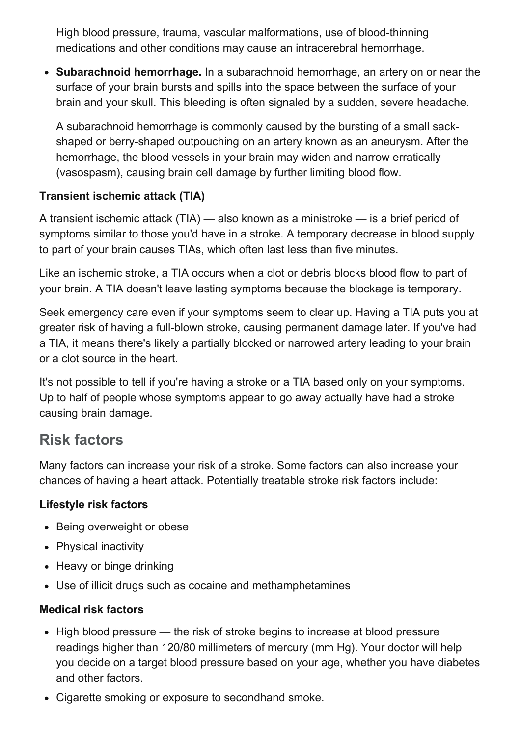High blood pressure, trauma, vascular malformations, use of blood-thinning medications and other conditions may cause an intracerebral hemorrhage.

• Subarachnoid hemorrhage. In a subarachnoid hemorrhage, an artery on or near the surface of your brain bursts and spills into the space between the surface of your brain and your skull. This bleeding is often signaled by a sudden, severe headache.

A subarachnoid hemorrhage is commonly caused by the bursting of a small sackshaped or berry-shaped outpouching on an artery known as an aneurysm. After the hemorrhage, the blood vessels in your brain may widen and narrow erratically (vasospasm), causing brain cell damage by further limiting blood flow.

#### Transient ischemic attack (TIA)

A transient ischemic attack (TIA) — also known as a ministroke — is a brief period of symptoms similar to those you'd have in a stroke. A temporary decrease in blood supply to part of your brain causes TIAs, which often last less than five minutes.

Like an ischemic stroke, a TIA occurs when a clot or debris blocks blood flow to part of your brain. A TIA doesn't leave lasting symptoms because the blockage is temporary.

Seek emergency care even if your symptoms seem to clear up. Having a TIA puts you at greater risk of having a full-blown stroke, causing permanent damage later. If you've had a TIA, it means there's likely a partially blocked or narrowed artery leading to your brain or a clot source in the heart.

It's not possible to tell if you're having a stroke or a TIA based only on your symptoms. Up to half of people whose symptoms appear to go away actually have had a stroke causing brain damage.

## Risk factors

Many factors can increase your risk of a stroke. Some factors can also increase your chances of having a heart attack. Potentially treatable stroke risk factors include:

#### Lifestyle risk factors

- Being overweight or obese
- Physical inactivity
- Heavy or binge drinking
- Use of illicit drugs such as cocaine and methamphetamines

#### Medical risk factors

- High blood pressure the risk of stroke begins to increase at blood pressure readings higher than 120/80 millimeters of mercury (mm Hg). Your doctor will help you decide on a target blood pressure based on your age, whether you have diabetes and other factors.
- Cigarette smoking or exposure to secondhand smoke.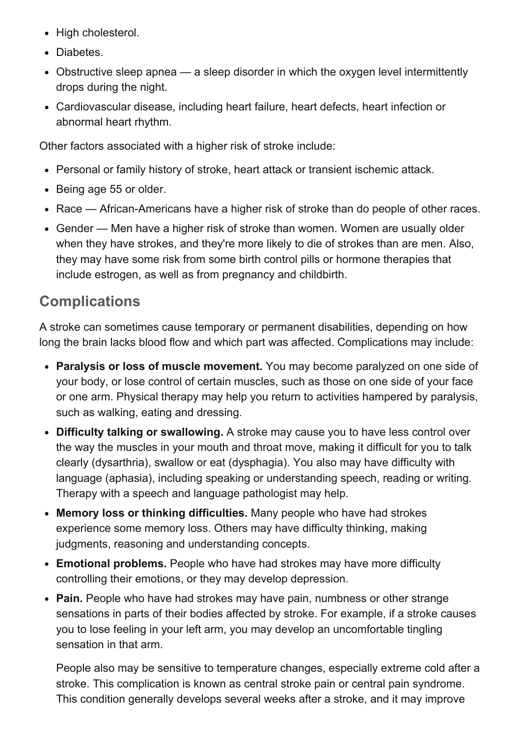- High cholesterol.
- Diabetes.
- Obstructive sleep apnea a sleep disorder in which the oxygen level intermittently drops during the night.
- Cardiovascular disease, including heart failure, heart defects, heart infection or abnormal heart rhythm.

Other factors associated with a higher risk of stroke include:

- Personal or family history of stroke, heart attack or transient ischemic attack.
- Being age 55 or older.
- Race African-Americans have a higher risk of stroke than do people of other races.
- Gender Men have a higher risk of stroke than women. Women are usually older when they have strokes, and they're more likely to die of strokes than are men. Also, they may have some risk from some birth control pills or hormone therapies that include estrogen, as well as from pregnancy and childbirth.

# **Complications**

A stroke can sometimes cause temporary or permanent disabilities, depending on how long the brain lacks blood flow and which part was affected. Complications may include:

- Paralysis or loss of muscle movement. You may become paralyzed on one side of your body, or lose control of certain muscles, such as those on one side of your face or one arm. Physical therapy may help you return to activities hampered by paralysis, such as walking, eating and dressing.
- Difficulty talking or swallowing. A stroke may cause you to have less control over the way the muscles in your mouth and throat move, making it difficult for you to talk clearly (dysarthria), swallow or eat (dysphagia). You also may have difficulty with language (aphasia), including speaking or understanding speech, reading or writing. Therapy with a speech and language pathologist may help.
- Memory loss or thinking difficulties. Many people who have had strokes experience some memory loss. Others may have difficulty thinking, making judgments, reasoning and understanding concepts.
- Emotional problems. People who have had strokes may have more difficulty controlling their emotions, or they may develop depression.
- Pain. People who have had strokes may have pain, numbness or other strange sensations in parts of their bodies affected by stroke. For example, if a stroke causes you to lose feeling in your left arm, you may develop an uncomfortable tingling sensation in that arm.

People also may be sensitive to temperature changes, especially extreme cold after a stroke. This complication is known as central stroke pain or central pain syndrome. This condition generally develops several weeks after a stroke, and it may improve